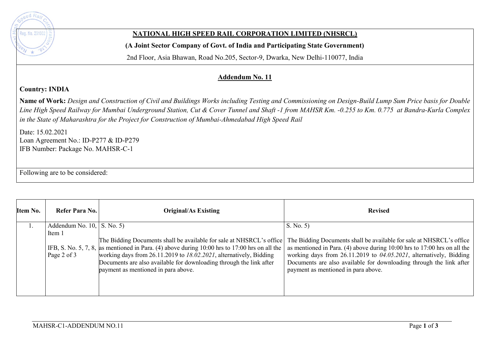

## **NATIONAL HIGH SPEED RAIL CORPORATION LIMITED (NHSRCL)**

**(A Joint Sector Company of Govt. of India and Participating State Government)** 

2nd Floor, Asia Bhawan, Road No.205, Sector-9, Dwarka, New Delhi-110077, India

## **Addendum No. 11**

## **Country: INDIA**

**Name of Work:** *Design and Construction of Civil and Buildings Works including Testing and Commissioning on Design-Build Lump Sum Price basis for Double Line High Speed Railway for Mumbai Underground Station, Cut & Cover Tunnel and Shaft -1 from MAHSR Km. -0.255 to Km. 0.775 at Bandra-Kurla Complex in the State of Maharashtra for the Project for Construction of Mumbai-Ahmedabad High Speed Rail*

Date: 15.02.2021 Loan Agreement No.: ID-P277 & ID-P279 IFB Number: Package No. MAHSR-C-1

Following are to be considered:

| Item No. | Refer Para No.                                         | <b>Original/As Existing</b>                                                                                                                                                                                                                                                                                                                                 | <b>Revised</b>                                                                                                                                                                                                                                                                                                                                       |
|----------|--------------------------------------------------------|-------------------------------------------------------------------------------------------------------------------------------------------------------------------------------------------------------------------------------------------------------------------------------------------------------------------------------------------------------------|------------------------------------------------------------------------------------------------------------------------------------------------------------------------------------------------------------------------------------------------------------------------------------------------------------------------------------------------------|
|          | Addendum No. $10$ , S. No. 5)<br>Item 1<br>Page 2 of 3 | The Bidding Documents shall be available for sale at NHSRCL's office<br>IFB, S. No. 5, 7, 8, as mentioned in Para. (4) above during $10:00$ hrs to 17:00 hrs on all the<br>working days from 26.11.2019 to 18.02.2021, alternatively, Bidding<br>Documents are also available for downloading through the link after<br>payment as mentioned in para above. | S. No. 5<br>The Bidding Documents shall be available for sale at NHSRCL's office<br>as mentioned in Para. (4) above during $10:00$ hrs to $17:00$ hrs on all the<br>working days from 26.11.2019 to 04.05.2021, alternatively, Bidding<br>Documents are also available for downloading through the link after<br>payment as mentioned in para above. |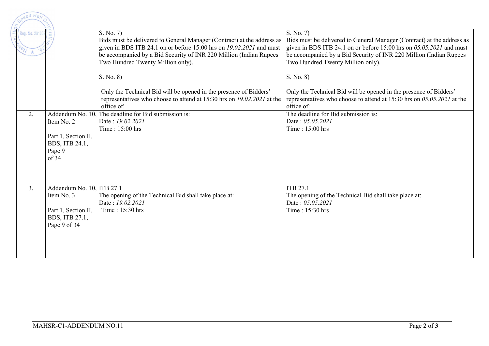| peed Rail                     |                                                                                                  |                                                                                                                                                                                                                                                                         |                                                                                                                                                                                                                                                                         |
|-------------------------------|--------------------------------------------------------------------------------------------------|-------------------------------------------------------------------------------------------------------------------------------------------------------------------------------------------------------------------------------------------------------------------------|-------------------------------------------------------------------------------------------------------------------------------------------------------------------------------------------------------------------------------------------------------------------------|
| Reg. No. 29100<br>$N_{\star}$ |                                                                                                  | S. No. 7)<br>Bids must be delivered to General Manager (Contract) at the address as<br>given in BDS ITB 24.1 on or before 15:00 hrs on $19.02.2021$ and must<br>be accompanied by a Bid Security of INR 220 Million (Indian Rupees<br>Two Hundred Twenty Million only). | S. No. 7)<br>Bids must be delivered to General Manager (Contract) at the address as<br>given in BDS ITB 24.1 on or before 15:00 hrs on $05.05.2021$ and must<br>be accompanied by a Bid Security of INR 220 Million (Indian Rupees<br>Two Hundred Twenty Million only). |
|                               |                                                                                                  | S. No. 8)<br>Only the Technical Bid will be opened in the presence of Bidders'<br>representatives who choose to attend at 15:30 hrs on 19.02.2021 at the<br>office of:                                                                                                  | S. No. 8)<br>Only the Technical Bid will be opened in the presence of Bidders'<br>representatives who choose to attend at 15:30 hrs on $05.05.2021$ at the<br>office of:                                                                                                |
| 2.                            | Item No. 2<br>Part 1, Section II,<br>BDS, ITB 24.1,<br>Page 9<br>of 34                           | Addendum No. 10, The deadline for Bid submission is:<br>Date: 19.02.2021<br>Time: $15:00$ hrs                                                                                                                                                                           | The deadline for Bid submission is:<br>Date: 05.05.2021<br>Time: 15:00 hrs                                                                                                                                                                                              |
| 3.                            | Addendum No. 10, ITB 27.1<br>Item No. 3<br>Part 1, Section II,<br>BDS, ITB 27.1,<br>Page 9 of 34 | The opening of the Technical Bid shall take place at:<br>Date: 19.02.2021<br>Time: $15:30$ hrs                                                                                                                                                                          | <b>ITB 27.1</b><br>The opening of the Technical Bid shall take place at:<br>Date: 05.05.2021<br>Time: 15:30 hrs                                                                                                                                                         |